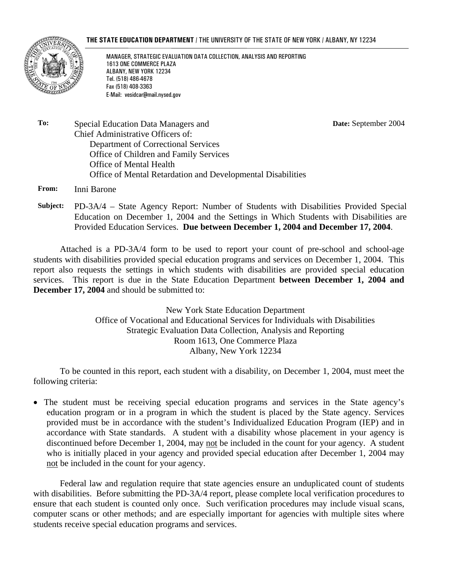#### **THE STATE EDUCATION DEPARTMENT** / THE UNIVERSITY OF THE STATE OF NEW YORK / ALBANY, NY 12234



MANAGER, STRATEGIC EVALUATION DATA COLLECTION, ANALYSIS AND REPORTING 1613 ONE COMMERCE PLAZA ALBANY, NEW YORK 12234 Tel. (518) 486-4678 Fax (518) 408-3363 E-Mail: vesidcar@mail.nysed.gov

**Date:** September 2004

**To:** Special Education Data Managers and Chief Administrative Officers of: Department of Correctional Services Office of Children and Family Services Office of Mental Health Office of Mental Retardation and Developmental Disabilities

**From:** Inni Barone

**Subject:** PD-3A/4 – State Agency Report: Number of Students with Disabilities Provided Special Education on December 1, 2004 and the Settings in Which Students with Disabilities are Provided Education Services. **Due between December 1, 2004 and December 17, 2004**.

Attached is a PD-3A/4 form to be used to report your count of pre-school and school-age students with disabilities provided special education programs and services on December 1, 2004. This report also requests the settings in which students with disabilities are provided special education services. This report is due in the State Education Department **between December 1, 2004 and December 17, 2004** and should be submitted to:

> New York State Education Department Office of Vocational and Educational Services for Individuals with Disabilities Strategic Evaluation Data Collection, Analysis and Reporting Room 1613, One Commerce Plaza Albany, New York 12234

To be counted in this report, each student with a disability, on December 1, 2004, must meet the following criteria:

• The student must be receiving special education programs and services in the State agency's education program or in a program in which the student is placed by the State agency. Services provided must be in accordance with the student's Individualized Education Program (IEP) and in accordance with State standards. A student with a disability whose placement in your agency is discontinued before December 1, 2004, may not be included in the count for your agency. A student who is initially placed in your agency and provided special education after December 1, 2004 may not be included in the count for your agency.

Federal law and regulation require that state agencies ensure an unduplicated count of students with disabilities. Before submitting the PD-3A/4 report, please complete local verification procedures to ensure that each student is counted only once. Such verification procedures may include visual scans, computer scans or other methods; and are especially important for agencies with multiple sites where students receive special education programs and services.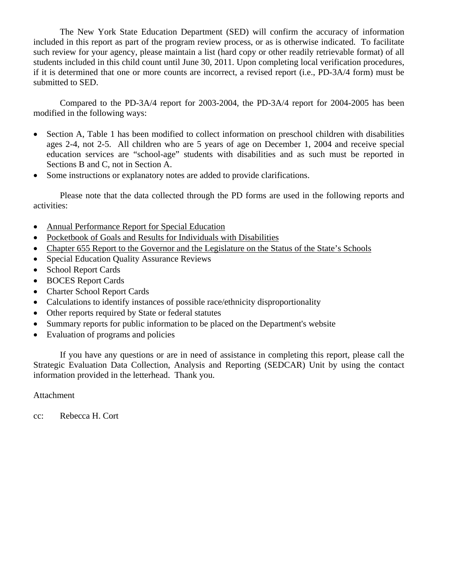The New York State Education Department (SED) will confirm the accuracy of information included in this report as part of the program review process, or as is otherwise indicated. To facilitate such review for your agency, please maintain a list (hard copy or other readily retrievable format) of all students included in this child count until June 30, 2011. Upon completing local verification procedures, if it is determined that one or more counts are incorrect, a revised report (i.e., PD-3A/4 form) must be submitted to SED.

Compared to the PD-3A/4 report for 2003-2004, the PD-3A/4 report for 2004-2005 has been modified in the following ways:

- Section A, Table 1 has been modified to collect information on preschool children with disabilities ages 2-4, not 2-5. All children who are 5 years of age on December 1, 2004 and receive special education services are "school-age" students with disabilities and as such must be reported in Sections B and C, not in Section A.
- Some instructions or explanatory notes are added to provide clarifications.

Please note that the data collected through the PD forms are used in the following reports and activities:

- Annual Performance Report for Special Education
- Pocketbook of Goals and Results for Individuals with Disabilities
- Chapter 655 Report to the Governor and the Legislature on the Status of the State's Schools
- Special Education Quality Assurance Reviews
- School Report Cards
- BOCES Report Cards
- Charter School Report Cards
- Calculations to identify instances of possible race/ethnicity disproportionality
- Other reports required by State or federal statutes
- Summary reports for public information to be placed on the Department's website
- Evaluation of programs and policies

If you have any questions or are in need of assistance in completing this report, please call the Strategic Evaluation Data Collection, Analysis and Reporting (SEDCAR) Unit by using the contact information provided in the letterhead. Thank you.

### Attachment

cc: Rebecca H. Cort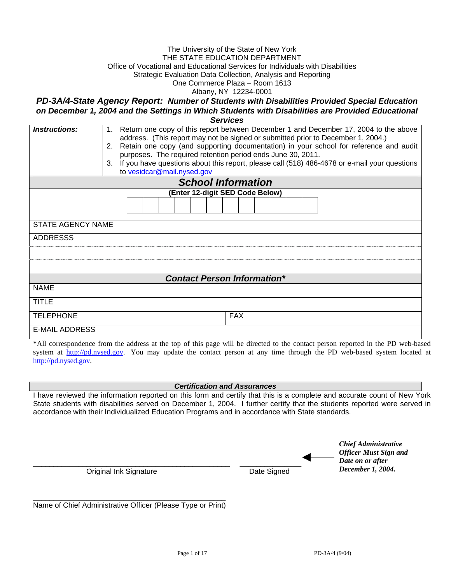#### The University of the State of New York THE STATE EDUCATION DEPARTMENT Office of Vocational and Educational Services for Individuals with Disabilities Strategic Evaluation Data Collection, Analysis and Reporting One Commerce Plaza – Room 1613 Albany, NY 12234-0001

*PD-3A/4-State Agency Report: Number of Students with Disabilities Provided Special Education on December 1, 2004 and the Settings in Which Students with Disabilities are Provided Educational* 

*Services*

| <i><b>Instructions:</b></i> | Return one copy of this report between December 1 and December 17, 2004 to the above<br>1.<br>address. (This report may not be signed or submitted prior to December 1, 2004.)<br>2. Retain one copy (and supporting documentation) in your school for reference and audit<br>purposes. The required retention period ends June 30, 2011.<br>If you have questions about this report, please call (518) 486-4678 or e-mail your questions<br>3.<br>to vesidcar@mail.nysed.gov |
|-----------------------------|-------------------------------------------------------------------------------------------------------------------------------------------------------------------------------------------------------------------------------------------------------------------------------------------------------------------------------------------------------------------------------------------------------------------------------------------------------------------------------|
|                             | <b>School Information</b>                                                                                                                                                                                                                                                                                                                                                                                                                                                     |
|                             | (Enter 12-digit SED Code Below)                                                                                                                                                                                                                                                                                                                                                                                                                                               |
|                             |                                                                                                                                                                                                                                                                                                                                                                                                                                                                               |
| STATE AGENCY NAME           |                                                                                                                                                                                                                                                                                                                                                                                                                                                                               |
| <b>ADDRESSS</b>             |                                                                                                                                                                                                                                                                                                                                                                                                                                                                               |
|                             |                                                                                                                                                                                                                                                                                                                                                                                                                                                                               |
|                             |                                                                                                                                                                                                                                                                                                                                                                                                                                                                               |
|                             | <b>Contact Person Information*</b>                                                                                                                                                                                                                                                                                                                                                                                                                                            |
| <b>NAME</b>                 |                                                                                                                                                                                                                                                                                                                                                                                                                                                                               |
| <b>TITLE</b>                |                                                                                                                                                                                                                                                                                                                                                                                                                                                                               |
| <b>TELEPHONE</b>            | <b>FAX</b>                                                                                                                                                                                                                                                                                                                                                                                                                                                                    |
| <b>E-MAIL ADDRESS</b>       |                                                                                                                                                                                                                                                                                                                                                                                                                                                                               |

\*All correspondence from the address at the top of this page will be directed to the contact person reported in the PD web-based system at http://pd.nysed.gov. You may update the contact person at any time through the PD web-based system located at http://pd.nysed.gov.

*Certification and Assurances* 

I have reviewed the information reported on this form and certify that this is a complete and accurate count of New York State students with disabilities served on December 1, 2004. I further certify that the students reported were served in accordance with their Individualized Education Programs and in accordance with State standards.

|                        |             | <b>Chief Administrative</b><br><b>Officer Must Sign and</b><br>Date on or after |
|------------------------|-------------|---------------------------------------------------------------------------------|
| Original Ink Signature | Date Signed | December 1, 2004.                                                               |

\_\_\_\_\_\_\_\_\_\_\_\_\_\_\_\_\_\_\_\_\_\_\_\_\_\_\_\_\_\_\_\_\_\_\_\_\_\_\_\_\_\_\_\_\_\_\_ Name of Chief Administrative Officer (Please Type or Print)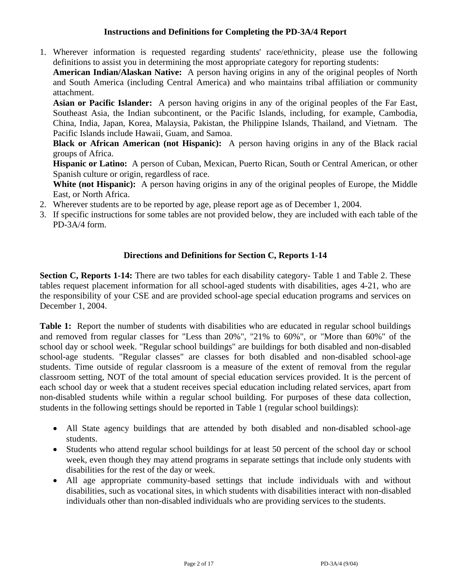# **Instructions and Definitions for Completing the PD-3A/4 Report**

1. Wherever information is requested regarding students' race/ethnicity, please use the following definitions to assist you in determining the most appropriate category for reporting students:

**American Indian/Alaskan Native:** A person having origins in any of the original peoples of North and South America (including Central America) and who maintains tribal affiliation or community attachment.

**Asian or Pacific Islander:** A person having origins in any of the original peoples of the Far East, Southeast Asia, the Indian subcontinent, or the Pacific Islands, including, for example, Cambodia, China, India, Japan, Korea, Malaysia, Pakistan, the Philippine Islands, Thailand, and Vietnam. The Pacific Islands include Hawaii, Guam, and Samoa.

**Black or African American (not Hispanic):** A person having origins in any of the Black racial groups of Africa.

**Hispanic or Latino:** A person of Cuban, Mexican, Puerto Rican, South or Central American, or other Spanish culture or origin, regardless of race.

White (not Hispanic): A person having origins in any of the original peoples of Europe, the Middle East, or North Africa.

- 2. Wherever students are to be reported by age, please report age as of December 1, 2004.
- 3. If specific instructions for some tables are not provided below, they are included with each table of the PD-3A/4 form.

# **Directions and Definitions for Section C, Reports 1-14**

**Section C, Reports 1-14:** There are two tables for each disability category- Table 1 and Table 2. These tables request placement information for all school-aged students with disabilities, ages 4-21, who are the responsibility of your CSE and are provided school-age special education programs and services on December 1, 2004.

Table 1: Report the number of students with disabilities who are educated in regular school buildings and removed from regular classes for "Less than 20%", "21% to 60%", or "More than 60%" of the school day or school week. "Regular school buildings" are buildings for both disabled and non-disabled school-age students. "Regular classes" are classes for both disabled and non-disabled school-age students. Time outside of regular classroom is a measure of the extent of removal from the regular classroom setting, NOT of the total amount of special education services provided. It is the percent of each school day or week that a student receives special education including related services, apart from non-disabled students while within a regular school building. For purposes of these data collection, students in the following settings should be reported in Table 1 (regular school buildings):

- All State agency buildings that are attended by both disabled and non-disabled school-age students.
- Students who attend regular school buildings for at least 50 percent of the school day or school week, even though they may attend programs in separate settings that include only students with disabilities for the rest of the day or week.
- All age appropriate community-based settings that include individuals with and without disabilities, such as vocational sites, in which students with disabilities interact with non-disabled individuals other than non-disabled individuals who are providing services to the students.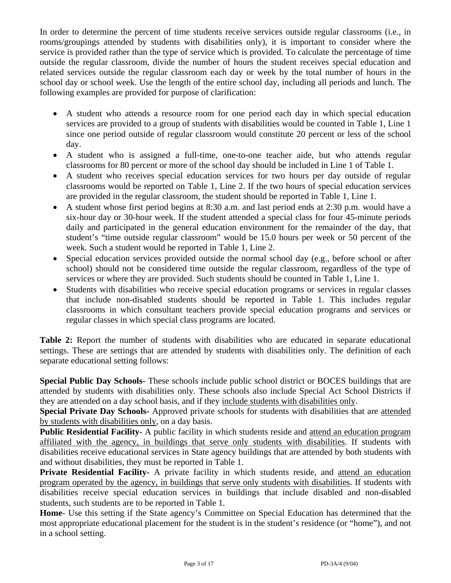In order to determine the percent of time students receive services outside regular classrooms (i.e., in rooms/groupings attended by students with disabilities only), it is important to consider where the service is provided rather than the type of service which is provided. To calculate the percentage of time outside the regular classroom, divide the number of hours the student receives special education and related services outside the regular classroom each day or week by the total number of hours in the school day or school week. Use the length of the entire school day, including all periods and lunch. The following examples are provided for purpose of clarification:

- A student who attends a resource room for one period each day in which special education services are provided to a group of students with disabilities would be counted in Table 1, Line 1 since one period outside of regular classroom would constitute 20 percent or less of the school day.
- A student who is assigned a full-time, one-to-one teacher aide, but who attends regular classrooms for 80 percent or more of the school day should be included in Line 1 of Table 1.
- A student who receives special education services for two hours per day outside of regular classrooms would be reported on Table 1, Line 2. If the two hours of special education services are provided in the regular classroom, the student should be reported in Table 1, Line 1.
- A student whose first period begins at 8:30 a.m. and last period ends at 2:30 p.m. would have a six-hour day or 30-hour week. If the student attended a special class for four 45-minute periods daily and participated in the general education environment for the remainder of the day, that student's "time outside regular classroom" would be 15.0 hours per week or 50 percent of the week. Such a student would be reported in Table 1, Line 2.
- Special education services provided outside the normal school day (e.g., before school or after school) should not be considered time outside the regular classroom, regardless of the type of services or where they are provided. Such students should be counted in Table 1, Line 1.
- Students with disabilities who receive special education programs or services in regular classes that include non-disabled students should be reported in Table 1. This includes regular classrooms in which consultant teachers provide special education programs and services or regular classes in which special class programs are located.

Table 2: Report the number of students with disabilities who are educated in separate educational settings. These are settings that are attended by students with disabilities only. The definition of each separate educational setting follows:

**Special Public Day Schools-** These schools include public school district or BOCES buildings that are attended by students with disabilities only. These schools also include Special Act School Districts if they are attended on a day school basis, and if they include students with disabilities only.

**Special Private Day Schools-** Approved private schools for students with disabilities that are attended by students with disabilities only, on a day basis.

**Public Residential Facility-** A public facility in which students reside and attend an education program affiliated with the agency, in buildings that serve only students with disabilities. If students with disabilities receive educational services in State agency buildings that are attended by both students with and without disabilities, they must be reported in Table 1.

**Private Residential Facility-** A private facility in which students reside, and attend an education program operated by the agency, in buildings that serve only students with disabilities. If students with disabilities receive special education services in buildings that include disabled and non-disabled students, such students are to be reported in Table 1.

**Home**- Use this setting if the State agency's Committee on Special Education has determined that the most appropriate educational placement for the student is in the student's residence (or "home"), and not in a school setting.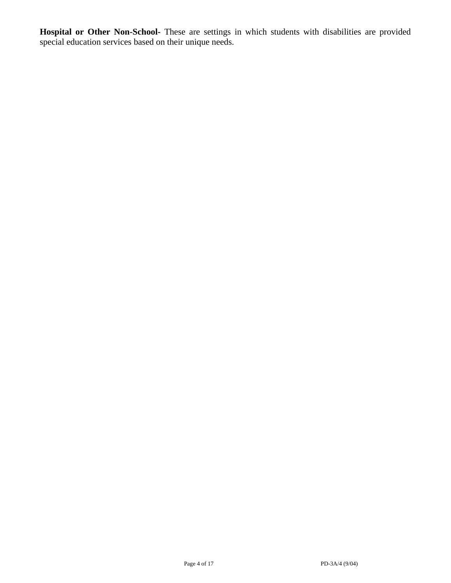**Hospital or Other Non-School-** These are settings in which students with disabilities are provided special education services based on their unique needs.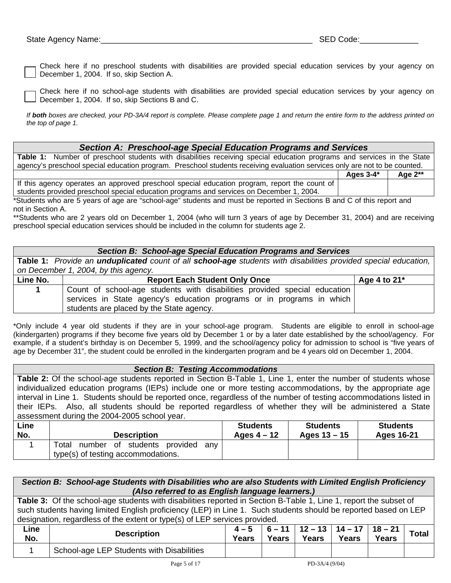Check here if no preschool students with disabilities are provided special education services by your agency on December 1, 2004. If so, skip Section A.

Check here if no school-age students with disabilities are provided special education services by your agency on December 1, 2004. If so, skip Sections B and C.

*If both boxes are checked, your PD-3A/4 report is complete. Please complete page 1 and return the entire form to the address printed on the top of page 1.* 

#### *Section A: Preschool-age Special Education Programs and Services*

**Table 1:** Number of preschool students with disabilities receiving special education programs and services in the State agency's preschool special education program. Preschool students receiving evaluation services only are not to be counted. **Ages 3-4\* Age 2\*\***  If this agency operates an approved preschool special education program, report the count of

students provided preschool special education programs and services on December 1, 2004.

\*Students who are 5 years of age are "school-age" students and must be reported in Sections B and C of this report and not in Section A.

\*\*Students who are 2 years old on December 1, 2004 (who will turn 3 years of age by December 31, 2004) and are receiving preschool special education services should be included in the column for students age 2.

#### *Section B: School-age Special Education Programs and Services*

**Table 1:** *Provide an unduplicated count of all school-age students with disabilities provided special education, on December 1, 2004, by this agency.* 

| Line No. | <b>Report Each Student Only Once</b>                                      | Age 4 to $21^*$ |
|----------|---------------------------------------------------------------------------|-----------------|
|          | Count of school-age students with disabilities provided special education |                 |
|          | services in State agency's education programs or in programs in which     |                 |
|          | students are placed by the State agency.                                  |                 |

\*Only include 4 year old students if they are in your school-age program. Students are eligible to enroll in school-age (kindergarten) programs if they become five years old by December 1 or by a later date established by the school/agency. For example, if a student's birthday is on December 5, 1999, and the school/agency policy for admission to school is "five years of age by December 31", the student could be enrolled in the kindergarten program and be 4 years old on December 1, 2004.

#### *Section B: Testing Accommodations*

**Table 2:** Of the school-age students reported in Section B-Table 1, Line 1, enter the number of students whose individualized education programs (IEPs) include one or more testing accommodations, by the appropriate age interval in Line 1. Students should be reported once, regardless of the number of testing accommodations listed in their IEPs. Also, all students should be reported regardless of whether they will be administered a State assessment during the 2004-2005 school year.

| Line | <b>Description</b>                                                                | <b>Students</b> | <b>Students</b> | <b>Students</b> |
|------|-----------------------------------------------------------------------------------|-----------------|-----------------|-----------------|
| No.  |                                                                                   | Ages $4-12$     | Ages $13 - 15$  | Ages 16-21      |
|      | Total<br>number of students provided<br>anv<br>type(s) of testing accommodations. |                 |                 |                 |

|             | Section B: School-age Students with Disabilities who are also Students with Limited English Proficiency                                                                                                                                                                                                            |                         |       |                                                 |       |       |              |  |  |
|-------------|--------------------------------------------------------------------------------------------------------------------------------------------------------------------------------------------------------------------------------------------------------------------------------------------------------------------|-------------------------|-------|-------------------------------------------------|-------|-------|--------------|--|--|
|             | (Also referred to as English language learners.)                                                                                                                                                                                                                                                                   |                         |       |                                                 |       |       |              |  |  |
|             | Table 3: Of the school-age students with disabilities reported in Section B-Table 1, Line 1, report the subset of<br>such students having limited English proficiency (LEP) in Line 1. Such students should be reported based on LEP<br>designation, regardless of the extent or type(s) of LEP services provided. |                         |       |                                                 |       |       |              |  |  |
| Line<br>No. | <b>Description</b>                                                                                                                                                                                                                                                                                                 | $4 - 5$<br><b>Years</b> | Years | $6 - 11$   12 - 13   14 - 17   18 - 21<br>Years | Years | Years | <b>Total</b> |  |  |
|             | School-age LEP Students with Disabilities                                                                                                                                                                                                                                                                          |                         |       |                                                 |       |       |              |  |  |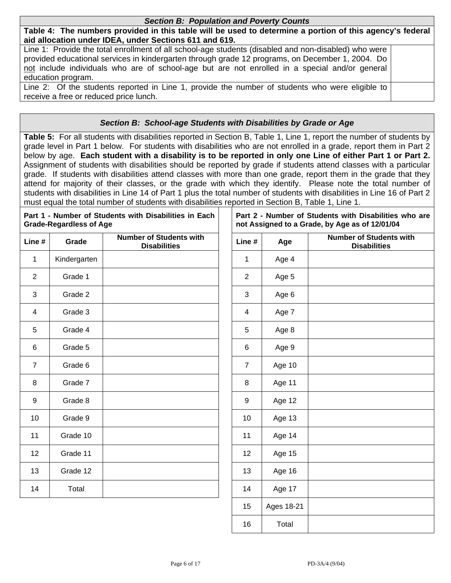#### *Section B: Population and Poverty Counts*

**Table 4: The numbers provided in this table will be used to determine a portion of this agency's federal aid allocation under IDEA, under Sections 611 and 619.** 

Line 1: Provide the total enrollment of all school-age students (disabled and non-disabled) who were provided educational services in kindergarten through grade 12 programs, on December 1, 2004. Do not include individuals who are of school-age but are not enrolled in a special and/or general education program.

Line 2: Of the students reported in Line 1, provide the number of students who were eligible to receive a free or reduced price lunch.

## *Section B: School-age Students with Disabilities by Grade or Age*

**Table 5:** For all students with disabilities reported in Section B, Table 1, Line 1, report the number of students by grade level in Part 1 below. For students with disabilities who are not enrolled in a grade, report them in Part 2 below by age. **Each student with a disability is to be reported in only one Line of either Part 1 or Part 2.** Assignment of students with disabilities should be reported by grade if students attend classes with a particular grade. If students with disabilities attend classes with more than one grade, report them in the grade that they attend for majority of their classes, or the grade with which they identify. Please note the total number of students with disabilities in Line 14 of Part 1 plus the total number of students with disabilities in Line 16 of Part 2 must equal the total number of students with disabilities reported in Section B, Table 1, Line 1.

|                | <b>Grade-Regardless of Age</b> | Part 1 - Number of Students with Disabilities in Each |                |            | Part 2 - Number of Students with Disabilities who are<br>not Assigned to a Grade, by Age as of 12/01/04 |
|----------------|--------------------------------|-------------------------------------------------------|----------------|------------|---------------------------------------------------------------------------------------------------------|
| Line #         | Grade                          | <b>Number of Students with</b><br><b>Disabilities</b> | Line #         | Age        | <b>Number of Students with</b><br><b>Disabilities</b>                                                   |
| $\mathbf 1$    | Kindergarten                   |                                                       | 1              | Age 4      |                                                                                                         |
| $\overline{2}$ | Grade 1                        |                                                       | $\overline{2}$ | Age 5      |                                                                                                         |
| 3              | Grade 2                        |                                                       | 3              | Age 6      |                                                                                                         |
| 4              | Grade 3                        |                                                       | 4              | Age 7      |                                                                                                         |
| 5              | Grade 4                        |                                                       | 5              | Age 8      |                                                                                                         |
| 6              | Grade 5                        |                                                       | 6              | Age 9      |                                                                                                         |
| $\overline{7}$ | Grade 6                        |                                                       | $\overline{7}$ | Age 10     |                                                                                                         |
| 8              | Grade 7                        |                                                       | 8              | Age 11     |                                                                                                         |
| 9              | Grade 8                        |                                                       | 9              | Age 12     |                                                                                                         |
| 10             | Grade 9                        |                                                       | 10             | Age 13     |                                                                                                         |
| 11             | Grade 10                       |                                                       | 11             | Age 14     |                                                                                                         |
| 12             | Grade 11                       |                                                       | 12             | Age 15     |                                                                                                         |
| 13             | Grade 12                       |                                                       | 13             | Age 16     |                                                                                                         |
| 14             | Total                          |                                                       | 14             | Age 17     |                                                                                                         |
|                |                                |                                                       | 15             | Ages 18-21 |                                                                                                         |

16 Total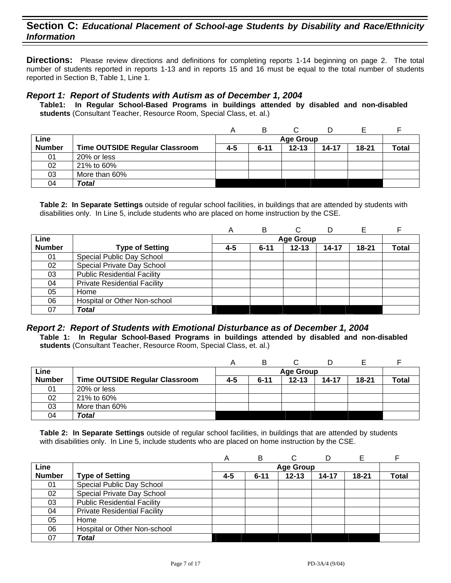**Directions:** Please review directions and definitions for completing reports 1-14 beginning on page 2. The total number of students reported in reports 1-13 and in reports 15 and 16 must be equal to the total number of students reported in Section B, Table 1, Line 1.

#### *Report 1: Report of Students with Autism as of December 1, 2004*

**Table1: In Regular School-Based Programs in buildings attended by disabled and non-disabled students** (Consultant Teacher, Resource Room, Special Class, et. al.)

| Line          |                                       |     |          | <b>Age Group</b> |       |           |              |
|---------------|---------------------------------------|-----|----------|------------------|-------|-----------|--------------|
| <b>Number</b> | <b>Time OUTSIDE Regular Classroom</b> | 4-5 | $6 - 11$ | $12 - 13$        | 14-17 | $18 - 21$ | <b>Total</b> |
| 01            | 20% or less                           |     |          |                  |       |           |              |
| 02            | 21% to 60%                            |     |          |                  |       |           |              |
| 03            | More than 60%                         |     |          |                  |       |           |              |
| 04            | <b>Total</b>                          |     |          |                  |       |           |              |

**Table 2: In Separate Settings** outside of regular school facilities, in buildings that are attended by students with disabilities only. In Line 5, include students who are placed on home instruction by the CSE.

|               |                                     | Α   | в        |                  | D     |           |              |
|---------------|-------------------------------------|-----|----------|------------------|-------|-----------|--------------|
| Line          |                                     |     |          | <b>Age Group</b> |       |           |              |
| <b>Number</b> | <b>Type of Setting</b>              | 4-5 | $6 - 11$ | $12 - 13$        | 14-17 | $18 - 21$ | <b>Total</b> |
| 01            | Special Public Day School           |     |          |                  |       |           |              |
| 02            | Special Private Day School          |     |          |                  |       |           |              |
| 03            | <b>Public Residential Facility</b>  |     |          |                  |       |           |              |
| 04            | <b>Private Residential Facility</b> |     |          |                  |       |           |              |
| 05            | Home                                |     |          |                  |       |           |              |
| 06            | Hospital or Other Non-school        |     |          |                  |       |           |              |
| 07            | <b>Total</b>                        |     |          |                  |       |           |              |

# *Report 2: Report of Students with Emotional Disturbance as of December 1, 2004*

**Table 1: In Regular School-Based Programs in buildings attended by disabled and non-disabled students** (Consultant Teacher, Resource Room, Special Class, et. al.)

| Line          |                                       |     |          | <b>Age Group</b> |       |           |              |
|---------------|---------------------------------------|-----|----------|------------------|-------|-----------|--------------|
| <b>Number</b> | <b>Time OUTSIDE Regular Classroom</b> | 4-5 | $6 - 11$ | $12 - 13$        | 14-17 | $18 - 21$ | <b>Total</b> |
| 01            | 20% or less                           |     |          |                  |       |           |              |
| 02            | 21% to 60%                            |     |          |                  |       |           |              |
| 03            | More than 60%                         |     |          |                  |       |           |              |
| 04            | Total                                 |     |          |                  |       |           |              |

|               |                                     | A   | в        |                  | D     | Е         |              |
|---------------|-------------------------------------|-----|----------|------------------|-------|-----------|--------------|
| Line          |                                     |     |          | <b>Age Group</b> |       |           |              |
| <b>Number</b> | <b>Type of Setting</b>              | 4-5 | $6 - 11$ | $12 - 13$        | 14-17 | $18 - 21$ | <b>Total</b> |
| 01            | Special Public Day School           |     |          |                  |       |           |              |
| 02            | Special Private Day School          |     |          |                  |       |           |              |
| 03            | <b>Public Residential Facility</b>  |     |          |                  |       |           |              |
| 04            | <b>Private Residential Facility</b> |     |          |                  |       |           |              |
| 05            | Home                                |     |          |                  |       |           |              |
| 06            | Hospital or Other Non-school        |     |          |                  |       |           |              |
| 07            | <b>Total</b>                        |     |          |                  |       |           |              |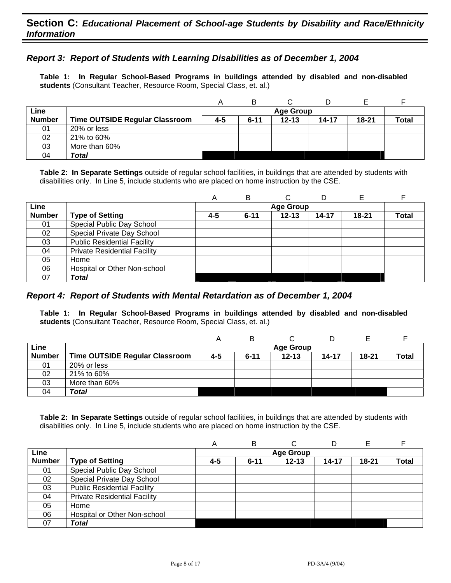## *Report 3: Report of Students with Learning Disabilities as of December 1, 2004*

**Table 1: In Regular School-Based Programs in buildings attended by disabled and non-disabled students** (Consultant Teacher, Resource Room, Special Class, et. al.)

|               |                                | Α   | в        |                  |       |       |              |
|---------------|--------------------------------|-----|----------|------------------|-------|-------|--------------|
| Line          |                                |     |          | <b>Age Group</b> |       |       |              |
| <b>Number</b> | Time OUTSIDE Regular Classroom | 4-5 | $6 - 11$ | $12 - 13$        | 14-17 | 18-21 | <b>Total</b> |
| 01            | 20% or less                    |     |          |                  |       |       |              |
| 02            | 21% to 60%                     |     |          |                  |       |       |              |
| 03            | More than 60%                  |     |          |                  |       |       |              |
| 04            | Total                          |     |          |                  |       |       |              |

**Table 2: In Separate Settings** outside of regular school facilities, in buildings that are attended by students with disabilities only. In Line 5, include students who are placed on home instruction by the CSE.

|               |                                     | Α   | B        |                  |       |           |              |
|---------------|-------------------------------------|-----|----------|------------------|-------|-----------|--------------|
| Line          |                                     |     |          | <b>Age Group</b> |       |           |              |
| <b>Number</b> | <b>Type of Setting</b>              | 4-5 | $6 - 11$ | $12 - 13$        | 14-17 | $18 - 21$ | <b>Total</b> |
| 01            | Special Public Day School           |     |          |                  |       |           |              |
| 02            | Special Private Day School          |     |          |                  |       |           |              |
| 03            | <b>Public Residential Facility</b>  |     |          |                  |       |           |              |
| 04            | <b>Private Residential Facility</b> |     |          |                  |       |           |              |
| 05            | Home                                |     |          |                  |       |           |              |
| 06            | Hospital or Other Non-school        |     |          |                  |       |           |              |
| 07            | Total                               |     |          |                  |       |           |              |

### *Report 4: Report of Students with Mental Retardation as of December 1, 2004*

**Table 1: In Regular School-Based Programs in buildings attended by disabled and non-disabled students** (Consultant Teacher, Resource Room, Special Class, et. al.)

|               |                                | Α   | B                |           |       |           |       |  |  |
|---------------|--------------------------------|-----|------------------|-----------|-------|-----------|-------|--|--|
| Line          |                                |     | <b>Age Group</b> |           |       |           |       |  |  |
| <b>Number</b> | Time OUTSIDE Regular Classroom | 4-5 | $6 - 11$         | $12 - 13$ | 14-17 | $18 - 21$ | Total |  |  |
| 01            | 20% or less                    |     |                  |           |       |           |       |  |  |
| 02            | 21% to 60%                     |     |                  |           |       |           |       |  |  |
| 03            | More than 60%                  |     |                  |           |       |           |       |  |  |
| 04            | Total                          |     |                  |           |       |           |       |  |  |

|               |                                     | А       | в        | C                |           |           |       |
|---------------|-------------------------------------|---------|----------|------------------|-----------|-----------|-------|
| Line          |                                     |         |          | <b>Age Group</b> |           |           |       |
| <b>Number</b> | <b>Type of Setting</b>              | $4 - 5$ | $6 - 11$ | $12 - 13$        | $14 - 17$ | $18 - 21$ | Total |
| 01            | Special Public Day School           |         |          |                  |           |           |       |
| 02            | Special Private Day School          |         |          |                  |           |           |       |
| 03            | <b>Public Residential Facility</b>  |         |          |                  |           |           |       |
| 04            | <b>Private Residential Facility</b> |         |          |                  |           |           |       |
| 05            | Home                                |         |          |                  |           |           |       |
| 06            | Hospital or Other Non-school        |         |          |                  |           |           |       |
| 07            | Total                               |         |          |                  |           |           |       |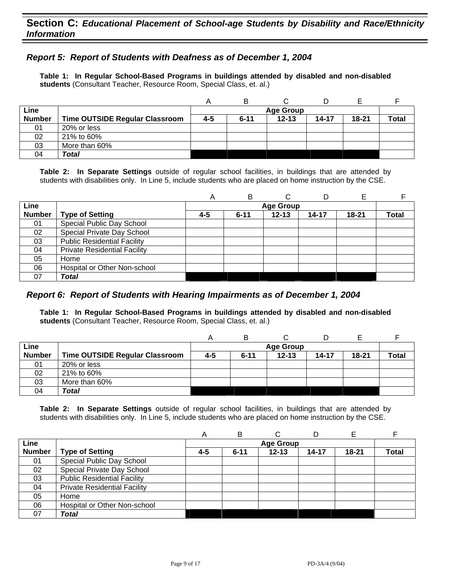# *Report 5: Report of Students with Deafness as of December 1, 2004*

**Table 1: In Regular School-Based Programs in buildings attended by disabled and non-disabled students** (Consultant Teacher, Resource Room, Special Class, et. al.)

|               |                                       | Α       |                  |           |           |           |       |  |  |
|---------------|---------------------------------------|---------|------------------|-----------|-----------|-----------|-------|--|--|
| Line          |                                       |         | <b>Age Group</b> |           |           |           |       |  |  |
| <b>Number</b> | <b>Time OUTSIDE Regular Classroom</b> | $4 - 5$ | $6 - 11$         | $12 - 13$ | $14 - 17$ | $18 - 21$ | Total |  |  |
| 01            | 20% or less                           |         |                  |           |           |           |       |  |  |
| 02            | 21% to 60%                            |         |                  |           |           |           |       |  |  |
| 03            | More than 60%                         |         |                  |           |           |           |       |  |  |
| 04            | Total                                 |         |                  |           |           |           |       |  |  |

**Table 2: In Separate Settings** outside of regular school facilities, in buildings that are attended by students with disabilities only. In Line 5, include students who are placed on home instruction by the CSE.

|               |                                     | Α   | в        |                  |       |           |       |
|---------------|-------------------------------------|-----|----------|------------------|-------|-----------|-------|
| Line          |                                     |     |          | <b>Age Group</b> |       |           |       |
| <b>Number</b> | <b>Type of Setting</b>              | 4-5 | $6 - 11$ | $12 - 13$        | 14-17 | $18 - 21$ | Total |
| 01            | Special Public Day School           |     |          |                  |       |           |       |
| 02            | Special Private Day School          |     |          |                  |       |           |       |
| 03            | <b>Public Residential Facility</b>  |     |          |                  |       |           |       |
| 04            | <b>Private Residential Facility</b> |     |          |                  |       |           |       |
| 05            | Home                                |     |          |                  |       |           |       |
| 06            | Hospital or Other Non-school        |     |          |                  |       |           |       |
| 07            | <b>Total</b>                        |     |          |                  |       |           |       |

### *Report 6: Report of Students with Hearing Impairments as of December 1, 2004*

**Table 1: In Regular School-Based Programs in buildings attended by disabled and non-disabled students** (Consultant Teacher, Resource Room, Special Class, et. al.)

| Line          |                                |         |          | <b>Age Group</b> |       |       |              |
|---------------|--------------------------------|---------|----------|------------------|-------|-------|--------------|
| <b>Number</b> | Time OUTSIDE Regular Classroom | $4 - 5$ | $6 - 11$ | $12 - 13$        | 14-17 | 18-21 | <b>Total</b> |
| 01            | 20% or less                    |         |          |                  |       |       |              |
| 02            | 21% to 60%                     |         |          |                  |       |       |              |
| 03            | More than 60%                  |         |          |                  |       |       |              |
| 04            | Total                          |         |          |                  |       |       |              |

|               |                                     |     | B        |                  |       |           |              |
|---------------|-------------------------------------|-----|----------|------------------|-------|-----------|--------------|
| <b>Line</b>   |                                     |     |          | <b>Age Group</b> |       |           |              |
| <b>Number</b> | <b>Type of Setting</b>              | 4-5 | $6 - 11$ | $12 - 13$        | 14-17 | $18 - 21$ | <b>Total</b> |
| 01            | Special Public Day School           |     |          |                  |       |           |              |
| 02            | Special Private Day School          |     |          |                  |       |           |              |
| 03            | <b>Public Residential Facility</b>  |     |          |                  |       |           |              |
| 04            | <b>Private Residential Facility</b> |     |          |                  |       |           |              |
| 05            | Home                                |     |          |                  |       |           |              |
| 06            | Hospital or Other Non-school        |     |          |                  |       |           |              |
| 07            | Total                               |     |          |                  |       |           |              |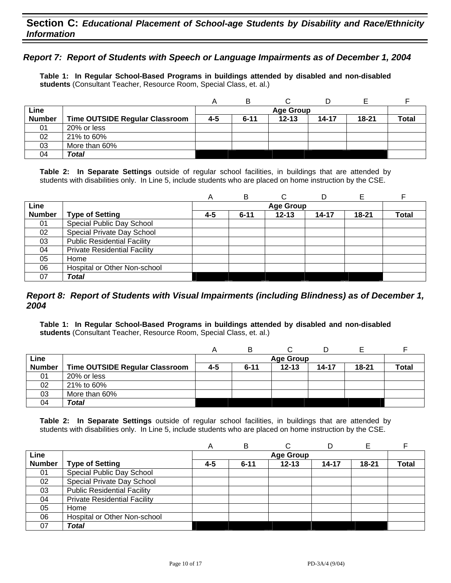# *Report 7: Report of Students with Speech or Language Impairments as of December 1, 2004*

**Table 1: In Regular School-Based Programs in buildings attended by disabled and non-disabled students** (Consultant Teacher, Resource Room, Special Class, et. al.)

|               |                                |     | в        |                  |           |           |              |
|---------------|--------------------------------|-----|----------|------------------|-----------|-----------|--------------|
| Line          |                                |     |          | <b>Age Group</b> |           |           |              |
| <b>Number</b> | Time OUTSIDE Regular Classroom | 4-5 | $6 - 11$ | $12 - 13$        | $14 - 17$ | $18 - 21$ | <b>Total</b> |
| 01            | 20% or less                    |     |          |                  |           |           |              |
| 02            | 21% to 60%                     |     |          |                  |           |           |              |
| 03            | More than 60%                  |     |          |                  |           |           |              |
| 04            | Total                          |     |          |                  |           |           |              |

**Table 2: In Separate Settings** outside of regular school facilities, in buildings that are attended by students with disabilities only. In Line 5, include students who are placed on home instruction by the CSE.

|               |                                     | Α   | в        | С                | D     |           |              |
|---------------|-------------------------------------|-----|----------|------------------|-------|-----------|--------------|
| Line          |                                     |     |          | <b>Age Group</b> |       |           |              |
| <b>Number</b> | <b>Type of Setting</b>              | 4-5 | $6 - 11$ | $12 - 13$        | 14-17 | $18 - 21$ | <b>Total</b> |
| 01            | Special Public Day School           |     |          |                  |       |           |              |
| 02            | Special Private Day School          |     |          |                  |       |           |              |
| 03            | <b>Public Residential Facility</b>  |     |          |                  |       |           |              |
| 04            | <b>Private Residential Facility</b> |     |          |                  |       |           |              |
| 05            | Home                                |     |          |                  |       |           |              |
| 06            | Hospital or Other Non-school        |     |          |                  |       |           |              |
| 07            | Total                               |     |          |                  |       |           |              |

### *Report 8: Report of Students with Visual Impairments (including Blindness) as of December 1, 2004*

**Table 1: In Regular School-Based Programs in buildings attended by disabled and non-disabled students** (Consultant Teacher, Resource Room, Special Class, et. al.)

|               |                                       |     | в        |                  |           |           |              |
|---------------|---------------------------------------|-----|----------|------------------|-----------|-----------|--------------|
| Line          |                                       |     |          | <b>Age Group</b> |           |           |              |
| <b>Number</b> | <b>Time OUTSIDE Regular Classroom</b> | 4-5 | $6 - 11$ | $12 - 13$        | $14 - 17$ | $18 - 21$ | <b>Total</b> |
| 01            | 20% or less                           |     |          |                  |           |           |              |
| 02            | 21% to 60%                            |     |          |                  |           |           |              |
| 03            | More than 60%                         |     |          |                  |           |           |              |
| 04            | Total                                 |     |          |                  |           |           |              |

|               |                                     | Α   | в        |                  |           |           |       |
|---------------|-------------------------------------|-----|----------|------------------|-----------|-----------|-------|
| Line          |                                     |     |          | <b>Age Group</b> |           |           |       |
| <b>Number</b> | <b>Type of Setting</b>              | 4-5 | $6 - 11$ | $12 - 13$        | $14 - 17$ | $18 - 21$ | Total |
| 01            | Special Public Day School           |     |          |                  |           |           |       |
| 02            | Special Private Day School          |     |          |                  |           |           |       |
| 03            | <b>Public Residential Facility</b>  |     |          |                  |           |           |       |
| 04            | <b>Private Residential Facility</b> |     |          |                  |           |           |       |
| 05            | Home                                |     |          |                  |           |           |       |
| 06            | Hospital or Other Non-school        |     |          |                  |           |           |       |
| 07            | Total                               |     |          |                  |           |           |       |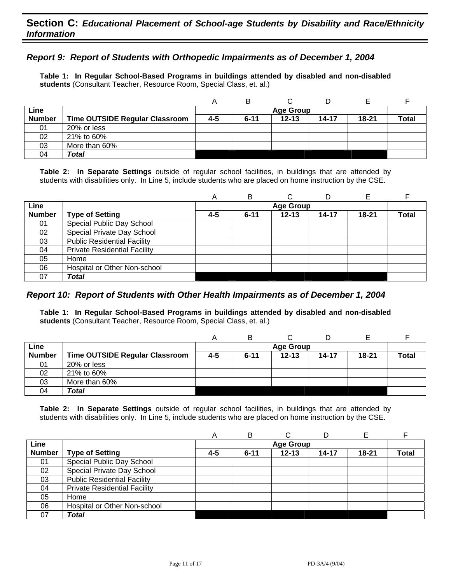# *Report 9: Report of Students with Orthopedic Impairments as of December 1, 2004*

**Table 1: In Regular School-Based Programs in buildings attended by disabled and non-disabled students** (Consultant Teacher, Resource Room, Special Class, et. al.)

|               |                                       |     | в        |                  |       |           |              |
|---------------|---------------------------------------|-----|----------|------------------|-------|-----------|--------------|
| Line          |                                       |     |          | <b>Age Group</b> |       |           |              |
| <b>Number</b> | <b>Time OUTSIDE Regular Classroom</b> | 4-5 | $6 - 11$ | $12 - 13$        | 14-17 | $18 - 21$ | <b>Total</b> |
| 01            | 20% or less                           |     |          |                  |       |           |              |
| 02            | 21% to 60%                            |     |          |                  |       |           |              |
| 03            | More than 60%                         |     |          |                  |       |           |              |
| 04            | Total                                 |     |          |                  |       |           |              |

**Table 2: In Separate Settings** outside of regular school facilities, in buildings that are attended by students with disabilities only. In Line 5, include students who are placed on home instruction by the CSE.

|               |                                     | A   | в        | C                | D     |       |              |
|---------------|-------------------------------------|-----|----------|------------------|-------|-------|--------------|
| Line          |                                     |     |          | <b>Age Group</b> |       |       |              |
| <b>Number</b> | <b>Type of Setting</b>              | 4-5 | $6 - 11$ | $12 - 13$        | 14-17 | 18-21 | <b>Total</b> |
| 01            | Special Public Day School           |     |          |                  |       |       |              |
| 02            | Special Private Day School          |     |          |                  |       |       |              |
| 03            | <b>Public Residential Facility</b>  |     |          |                  |       |       |              |
| 04            | <b>Private Residential Facility</b> |     |          |                  |       |       |              |
| 05            | Home                                |     |          |                  |       |       |              |
| 06            | Hospital or Other Non-school        |     |          |                  |       |       |              |
| 07            | Total                               |     |          |                  |       |       |              |

### *Report 10: Report of Students with Other Health Impairments as of December 1, 2004*

**Table 1: In Regular School-Based Programs in buildings attended by disabled and non-disabled students** (Consultant Teacher, Resource Room, Special Class, et. al.)

|               |                                |     | в        |                  |           |           |              |
|---------------|--------------------------------|-----|----------|------------------|-----------|-----------|--------------|
| Line          |                                |     |          | <b>Age Group</b> |           |           |              |
| <b>Number</b> | Time OUTSIDE Regular Classroom | 4-5 | $6 - 11$ | $12 - 13$        | $14 - 17$ | $18 - 21$ | <b>Total</b> |
| 01            | 20% or less                    |     |          |                  |           |           |              |
| 02            | 21% to 60%                     |     |          |                  |           |           |              |
| 03            | More than 60%                  |     |          |                  |           |           |              |
| 04            | Total                          |     |          |                  |           |           |              |

|               |                                     | Α   | в        |                  |           |           |              |
|---------------|-------------------------------------|-----|----------|------------------|-----------|-----------|--------------|
| Line          |                                     |     |          | <b>Age Group</b> |           |           |              |
| <b>Number</b> | <b>Type of Setting</b>              | 4-5 | $6 - 11$ | $12 - 13$        | $14 - 17$ | $18 - 21$ | <b>Total</b> |
| 01            | Special Public Day School           |     |          |                  |           |           |              |
| 02            | Special Private Day School          |     |          |                  |           |           |              |
| 03            | <b>Public Residential Facility</b>  |     |          |                  |           |           |              |
| 04            | <b>Private Residential Facility</b> |     |          |                  |           |           |              |
| 05            | Home                                |     |          |                  |           |           |              |
| 06            | Hospital or Other Non-school        |     |          |                  |           |           |              |
| 07            | <b>Total</b>                        |     |          |                  |           |           |              |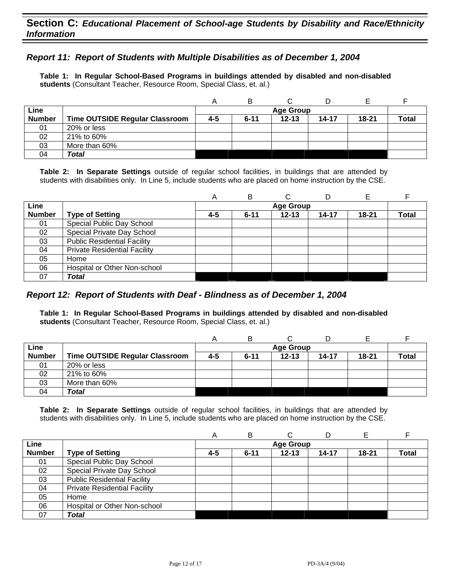# *Report 11: Report of Students with Multiple Disabilities as of December 1, 2004*

**Table 1: In Regular School-Based Programs in buildings attended by disabled and non-disabled students** (Consultant Teacher, Resource Room, Special Class, et. al.)

|               |                                |     | B        |                  |           |       |              |
|---------------|--------------------------------|-----|----------|------------------|-----------|-------|--------------|
| Line          |                                |     |          | <b>Age Group</b> |           |       |              |
| <b>Number</b> | Time OUTSIDE Regular Classroom | 4-5 | $6 - 11$ | $12 - 13$        | $14 - 17$ | 18-21 | <b>Total</b> |
| 01            | 20% or less                    |     |          |                  |           |       |              |
| 02            | 21% to 60%                     |     |          |                  |           |       |              |
| 03            | More than 60%                  |     |          |                  |           |       |              |
| 04            | Total                          |     |          |                  |           |       |              |

**Table 2: In Separate Settings** outside of regular school facilities, in buildings that are attended by students with disabilities only. In Line 5, include students who are placed on home instruction by the CSE.

|               |                                     | A   | B        |                  | D         |           |              |
|---------------|-------------------------------------|-----|----------|------------------|-----------|-----------|--------------|
| Line          |                                     |     |          | <b>Age Group</b> |           |           |              |
| <b>Number</b> | <b>Type of Setting</b>              | 4-5 | $6 - 11$ | $12 - 13$        | $14 - 17$ | $18 - 21$ | <b>Total</b> |
| 01            | Special Public Day School           |     |          |                  |           |           |              |
| 02            | Special Private Day School          |     |          |                  |           |           |              |
| 03            | <b>Public Residential Facility</b>  |     |          |                  |           |           |              |
| 04            | <b>Private Residential Facility</b> |     |          |                  |           |           |              |
| 05            | Home                                |     |          |                  |           |           |              |
| 06            | Hospital or Other Non-school        |     |          |                  |           |           |              |
| 07            | Total                               |     |          |                  |           |           |              |

## *Report 12: Report of Students with Deaf - Blindness as of December 1, 2004*

**Table 1: In Regular School-Based Programs in buildings attended by disabled and non-disabled students** (Consultant Teacher, Resource Room, Special Class, et. al.)

|               |                                |     | B        |                  |           |           |              |
|---------------|--------------------------------|-----|----------|------------------|-----------|-----------|--------------|
| Line          |                                |     |          | <b>Age Group</b> |           |           |              |
| <b>Number</b> | Time OUTSIDE Regular Classroom | 4-5 | $6 - 11$ | $12 - 13$        | $14 - 17$ | $18 - 21$ | <b>Total</b> |
| 01            | 20% or less                    |     |          |                  |           |           |              |
| 02            | 21% to 60%                     |     |          |                  |           |           |              |
| 03            | More than 60%                  |     |          |                  |           |           |              |
| 04            | Total                          |     |          |                  |           |           |              |

|               |                                     | А       | В        | C                |           | Е         |              |
|---------------|-------------------------------------|---------|----------|------------------|-----------|-----------|--------------|
| Line          |                                     |         |          | <b>Age Group</b> |           |           |              |
| <b>Number</b> | <b>Type of Setting</b>              | $4 - 5$ | $6 - 11$ | $12 - 13$        | $14 - 17$ | $18 - 21$ | <b>Total</b> |
| 01            | Special Public Day School           |         |          |                  |           |           |              |
| 02            | Special Private Day School          |         |          |                  |           |           |              |
| 03            | <b>Public Residential Facility</b>  |         |          |                  |           |           |              |
| 04            | <b>Private Residential Facility</b> |         |          |                  |           |           |              |
| 05            | Home                                |         |          |                  |           |           |              |
| 06            | Hospital or Other Non-school        |         |          |                  |           |           |              |
| 07            | Total                               |         |          |                  |           |           |              |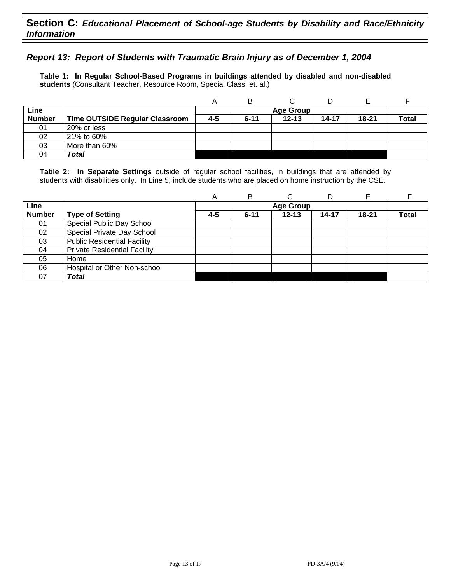# *Report 13: Report of Students with Traumatic Brain Injury as of December 1, 2004*

**Table 1: In Regular School-Based Programs in buildings attended by disabled and non-disabled students** (Consultant Teacher, Resource Room, Special Class, et. al.)

|               |                                       |     | B        |                  |       |       |              |
|---------------|---------------------------------------|-----|----------|------------------|-------|-------|--------------|
| Line          |                                       |     |          | <b>Age Group</b> |       |       |              |
| <b>Number</b> | <b>Time OUTSIDE Regular Classroom</b> | 4-5 | $6 - 11$ | $12 - 13$        | 14-17 | 18-21 | <b>Total</b> |
| 01            | 20% or less                           |     |          |                  |       |       |              |
| 02            | 21% to 60%                            |     |          |                  |       |       |              |
| 03            | More than 60%                         |     |          |                  |       |       |              |
| 04            | <b>Total</b>                          |     |          |                  |       |       |              |

|               |                                     | A   | в        | ⌒                | D     |           |              |
|---------------|-------------------------------------|-----|----------|------------------|-------|-----------|--------------|
| Line          |                                     |     |          | <b>Age Group</b> |       |           |              |
| <b>Number</b> | <b>Type of Setting</b>              | 4-5 | $6 - 11$ | $12 - 13$        | 14-17 | $18 - 21$ | <b>Total</b> |
| 01            | Special Public Day School           |     |          |                  |       |           |              |
| 02            | Special Private Day School          |     |          |                  |       |           |              |
| 03            | <b>Public Residential Facility</b>  |     |          |                  |       |           |              |
| 04            | <b>Private Residential Facility</b> |     |          |                  |       |           |              |
| 05            | Home                                |     |          |                  |       |           |              |
| 06            | Hospital or Other Non-school        |     |          |                  |       |           |              |
| 07            | Total                               |     |          |                  |       |           |              |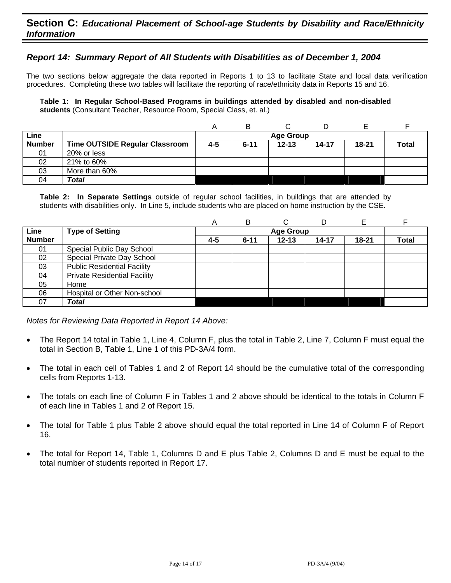# *Report 14: Summary Report of All Students with Disabilities as of December 1, 2004*

The two sections below aggregate the data reported in Reports 1 to 13 to facilitate State and local data verification procedures. Completing these two tables will facilitate the reporting of race/ethnicity data in Reports 15 and 16.

**Table 1: In Regular School-Based Programs in buildings attended by disabled and non-disabled students** (Consultant Teacher, Resource Room, Special Class, et. al.)

|               |                                       |         | B        |                  |       |           |       |
|---------------|---------------------------------------|---------|----------|------------------|-------|-----------|-------|
| Line          |                                       |         |          | <b>Age Group</b> |       |           |       |
| <b>Number</b> | <b>Time OUTSIDE Regular Classroom</b> | $4 - 5$ | $6 - 11$ | $12 - 13$        | 14-17 | $18 - 21$ | Total |
| 01            | 20% or less                           |         |          |                  |       |           |       |
| 02            | 21% to 60%                            |         |          |                  |       |           |       |
| 03            | More than 60%                         |         |          |                  |       |           |       |
| 04            | Total                                 |         |          |                  |       |           |       |

**Table 2: In Separate Settings** outside of regular school facilities, in buildings that are attended by students with disabilities only. In Line 5, include students who are placed on home instruction by the CSE.

|               |                                     | A       | B        | С                |       |           |              |
|---------------|-------------------------------------|---------|----------|------------------|-------|-----------|--------------|
| Line          | <b>Type of Setting</b>              |         |          | <b>Age Group</b> |       |           |              |
| <b>Number</b> |                                     | $4 - 5$ | $6 - 11$ | $12 - 13$        | 14-17 | $18 - 21$ | <b>Total</b> |
| 01            | Special Public Day School           |         |          |                  |       |           |              |
| 02            | Special Private Day School          |         |          |                  |       |           |              |
| 03            | <b>Public Residential Facility</b>  |         |          |                  |       |           |              |
| 04            | <b>Private Residential Facility</b> |         |          |                  |       |           |              |
| 05            | Home                                |         |          |                  |       |           |              |
| 06            | Hospital or Other Non-school        |         |          |                  |       |           |              |
| 07            | Total                               |         |          |                  |       |           |              |

*Notes for Reviewing Data Reported in Report 14 Above:* 

- The Report 14 total in Table 1, Line 4, Column F, plus the total in Table 2, Line 7, Column F must equal the total in Section B, Table 1, Line 1 of this PD-3A/4 form.
- The total in each cell of Tables 1 and 2 of Report 14 should be the cumulative total of the corresponding cells from Reports 1-13.
- The totals on each line of Column F in Tables 1 and 2 above should be identical to the totals in Column F of each line in Tables 1 and 2 of Report 15.
- The total for Table 1 plus Table 2 above should equal the total reported in Line 14 of Column F of Report 16.
- The total for Report 14, Table 1, Columns D and E plus Table 2, Columns D and E must be equal to the total number of students reported in Report 17.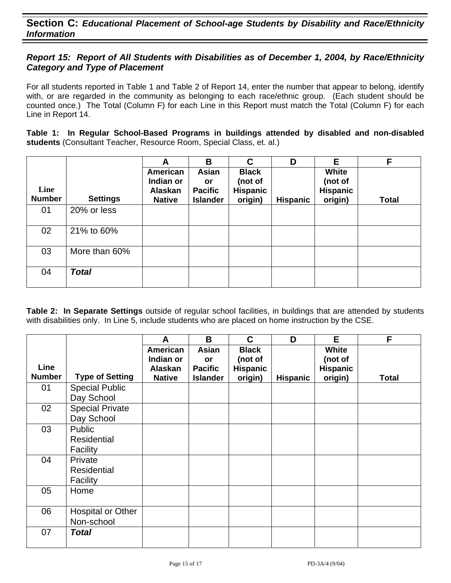# *Report 15: Report of All Students with Disabilities as of December 1, 2004, by Race/Ethnicity Category and Type of Placement*

For all students reported in Table 1 and Table 2 of Report 14, enter the number that appear to belong, identify with, or are regarded in the community as belonging to each race/ethnic group. (Each student should be counted once.) The Total (Column F) for each Line in this Report must match the Total (Column F) for each Line in Report 14.

**Table 1: In Regular School-Based Programs in buildings attended by disabled and non-disabled students** (Consultant Teacher, Resource Room, Special Class, et. al.)

|                       |                 | A                                                 | B                                                | C                                                     | D               | Е                                              | F            |
|-----------------------|-----------------|---------------------------------------------------|--------------------------------------------------|-------------------------------------------------------|-----------------|------------------------------------------------|--------------|
| Line<br><b>Number</b> | <b>Settings</b> | American<br>Indian or<br>Alaskan<br><b>Native</b> | Asian<br>or<br><b>Pacific</b><br><b>Islander</b> | <b>Black</b><br>(not of<br><b>Hispanic</b><br>origin) | <b>Hispanic</b> | White<br>(not of<br><b>Hispanic</b><br>origin) | <b>Total</b> |
| 01                    | 20% or less     |                                                   |                                                  |                                                       |                 |                                                |              |
| 02                    | 21% to 60%      |                                                   |                                                  |                                                       |                 |                                                |              |
| 03                    | More than 60%   |                                                   |                                                  |                                                       |                 |                                                |              |
| 04                    | <b>Total</b>    |                                                   |                                                  |                                                       |                 |                                                |              |

|               |                        | A                        | B                                 | C                          | D               | E                          | F            |
|---------------|------------------------|--------------------------|-----------------------------------|----------------------------|-----------------|----------------------------|--------------|
|               |                        | American                 | Asian                             | <b>Black</b>               |                 | White                      |              |
| Line          |                        | Indian or                | <b>or</b>                         | (not of                    |                 | (not of                    |              |
| <b>Number</b> | <b>Type of Setting</b> | Alaskan<br><b>Native</b> | <b>Pacific</b><br><b>Islander</b> | <b>Hispanic</b><br>origin) | <b>Hispanic</b> | <b>Hispanic</b><br>origin) | <b>Total</b> |
| 01            | <b>Special Public</b>  |                          |                                   |                            |                 |                            |              |
|               | Day School             |                          |                                   |                            |                 |                            |              |
| 02            | <b>Special Private</b> |                          |                                   |                            |                 |                            |              |
|               | Day School             |                          |                                   |                            |                 |                            |              |
| 03            | Public                 |                          |                                   |                            |                 |                            |              |
|               | <b>Residential</b>     |                          |                                   |                            |                 |                            |              |
|               | Facility               |                          |                                   |                            |                 |                            |              |
| 04            | Private                |                          |                                   |                            |                 |                            |              |
|               | <b>Residential</b>     |                          |                                   |                            |                 |                            |              |
|               | Facility               |                          |                                   |                            |                 |                            |              |
| 05            | Home                   |                          |                                   |                            |                 |                            |              |
|               |                        |                          |                                   |                            |                 |                            |              |
| 06            | Hospital or Other      |                          |                                   |                            |                 |                            |              |
|               | Non-school             |                          |                                   |                            |                 |                            |              |
| 07            | <b>Total</b>           |                          |                                   |                            |                 |                            |              |
|               |                        |                          |                                   |                            |                 |                            |              |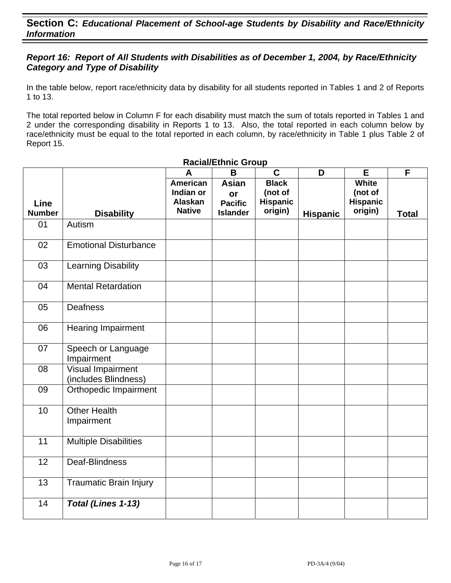# *Report 16: Report of All Students with Disabilities as of December 1, 2004, by Race/Ethnicity Category and Type of Disability*

In the table below, report race/ethnicity data by disability for all students reported in Tables 1 and 2 of Reports 1 to 13.

The total reported below in Column F for each disability must match the sum of totals reported in Tables 1 and 2 under the corresponding disability in Reports 1 to 13. Also, the total reported in each column below by race/ethnicity must be equal to the total reported in each column, by race/ethnicity in Table 1 plus Table 2 of Report 15.

|                              |                                           | A                                                        | B                                                       | $\mathbf C$                                    | D               | E                                                     | F            |
|------------------------------|-------------------------------------------|----------------------------------------------------------|---------------------------------------------------------|------------------------------------------------|-----------------|-------------------------------------------------------|--------------|
| <b>Line</b><br><b>Number</b> | <b>Disability</b>                         | <b>American</b><br>Indian or<br>Alaskan<br><b>Native</b> | <b>Asian</b><br>or<br><b>Pacific</b><br><b>Islander</b> | <b>Black</b><br>(not of<br>Hispanic<br>origin) | <b>Hispanic</b> | <b>White</b><br>(not of<br><b>Hispanic</b><br>origin) | <b>Total</b> |
| 01                           | Autism                                    |                                                          |                                                         |                                                |                 |                                                       |              |
|                              |                                           |                                                          |                                                         |                                                |                 |                                                       |              |
| 02                           | <b>Emotional Disturbance</b>              |                                                          |                                                         |                                                |                 |                                                       |              |
| 03                           | <b>Learning Disability</b>                |                                                          |                                                         |                                                |                 |                                                       |              |
| 04                           | <b>Mental Retardation</b>                 |                                                          |                                                         |                                                |                 |                                                       |              |
| 05                           | Deafness                                  |                                                          |                                                         |                                                |                 |                                                       |              |
| 06                           | Hearing Impairment                        |                                                          |                                                         |                                                |                 |                                                       |              |
| 07                           | Speech or Language<br>Impairment          |                                                          |                                                         |                                                |                 |                                                       |              |
| 08                           | Visual Impairment<br>(includes Blindness) |                                                          |                                                         |                                                |                 |                                                       |              |
| 09                           | Orthopedic Impairment                     |                                                          |                                                         |                                                |                 |                                                       |              |
| 10                           | <b>Other Health</b><br>Impairment         |                                                          |                                                         |                                                |                 |                                                       |              |
| 11                           | <b>Multiple Disabilities</b>              |                                                          |                                                         |                                                |                 |                                                       |              |
| 12                           | Deaf-Blindness                            |                                                          |                                                         |                                                |                 |                                                       |              |
| 13                           | <b>Traumatic Brain Injury</b>             |                                                          |                                                         |                                                |                 |                                                       |              |
| 14                           | Total (Lines 1-13)                        |                                                          |                                                         |                                                |                 |                                                       |              |

#### **Racial/Ethnic Group**